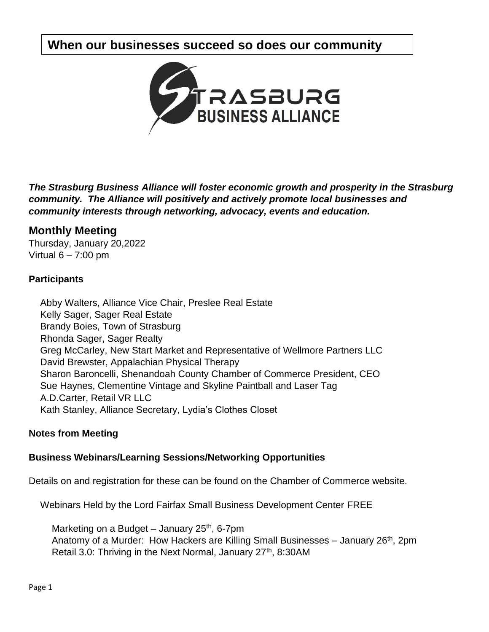# **When our businesses succeed so does our community**



*The Strasburg Business Alliance will foster economic growth and prosperity in the Strasburg community. The Alliance will positively and actively promote local businesses and community interests through networking, advocacy, events and education.*

## **Monthly Meeting**

Thursday, January 20,2022 Virtual  $6 - 7:00$  pm

## **Participants**

Abby Walters, Alliance Vice Chair, Preslee Real Estate Kelly Sager, Sager Real Estate Brandy Boies, Town of Strasburg Rhonda Sager, Sager Realty Greg McCarley, New Start Market and Representative of Wellmore Partners LLC David Brewster, Appalachian Physical Therapy Sharon Baroncelli, Shenandoah County Chamber of Commerce President, CEO Sue Haynes, Clementine Vintage and Skyline Paintball and Laser Tag A.D.Carter, Retail VR LLC Kath Stanley, Alliance Secretary, Lydia's Clothes Closet

## **Notes from Meeting**

## **Business Webinars/Learning Sessions/Networking Opportunities**

Details on and registration for these can be found on the Chamber of Commerce website.

Webinars Held by the Lord Fairfax Small Business Development Center FREE

Marketing on a Budget – January  $25<sup>th</sup>$ , 6-7pm Anatomy of a Murder: How Hackers are Killing Small Businesses – January 26<sup>th</sup>, 2pm Retail 3.0: Thriving in the Next Normal, January 27<sup>th</sup>, 8:30AM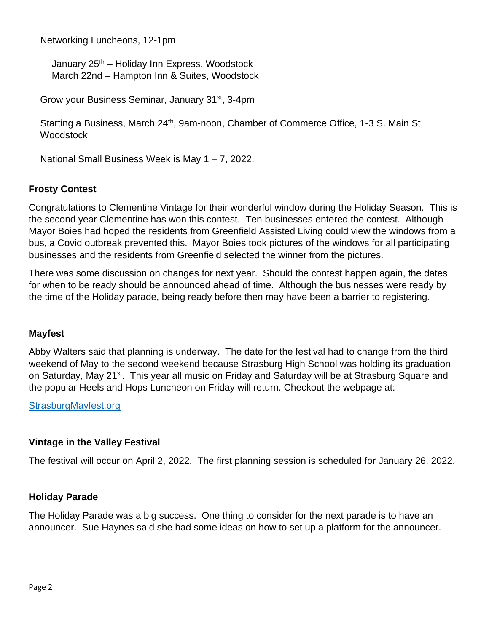Networking Luncheons, 12-1pm

January 25<sup>th</sup> – Holiday Inn Express, Woodstock March 22nd – Hampton Inn & Suites, Woodstock

Grow your Business Seminar, January 31st, 3-4pm

Starting a Business, March 24<sup>th</sup>, 9am-noon, Chamber of Commerce Office, 1-3 S. Main St, **Woodstock** 

National Small Business Week is May 1 – 7, 2022.

#### **Frosty Contest**

Congratulations to Clementine Vintage for their wonderful window during the Holiday Season. This is the second year Clementine has won this contest. Ten businesses entered the contest. Although Mayor Boies had hoped the residents from Greenfield Assisted Living could view the windows from a bus, a Covid outbreak prevented this. Mayor Boies took pictures of the windows for all participating businesses and the residents from Greenfield selected the winner from the pictures.

There was some discussion on changes for next year. Should the contest happen again, the dates for when to be ready should be announced ahead of time. Although the businesses were ready by the time of the Holiday parade, being ready before then may have been a barrier to registering.

#### **Mayfest**

Abby Walters said that planning is underway. The date for the festival had to change from the third weekend of May to the second weekend because Strasburg High School was holding its graduation on Saturday, May 21<sup>st</sup>. This year all music on Friday and Saturday will be at Strasburg Square and the popular Heels and Hops Luncheon on Friday will return. Checkout the webpage at:

[StrasburgMayfest.org](http://www.shenandoahcountychamber.com/Strasburg-Mayfest)

#### **Vintage in the Valley Festival**

The festival will occur on April 2, 2022. The first planning session is scheduled for January 26, 2022.

#### **Holiday Parade**

The Holiday Parade was a big success. One thing to consider for the next parade is to have an announcer. Sue Haynes said she had some ideas on how to set up a platform for the announcer.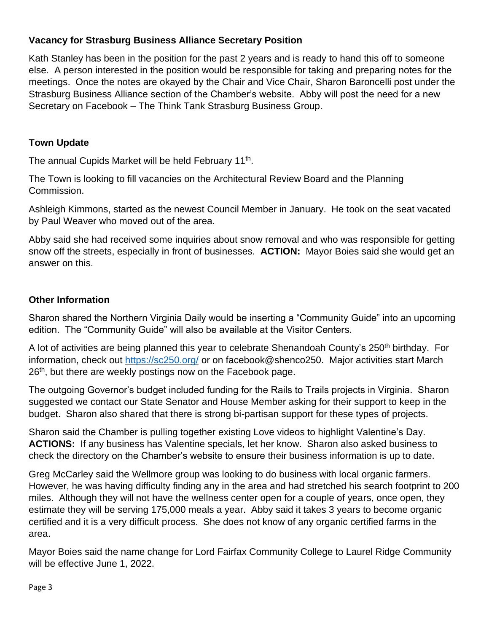## **Vacancy for Strasburg Business Alliance Secretary Position**

Kath Stanley has been in the position for the past 2 years and is ready to hand this off to someone else. A person interested in the position would be responsible for taking and preparing notes for the meetings. Once the notes are okayed by the Chair and Vice Chair, Sharon Baroncelli post under the Strasburg Business Alliance section of the Chamber's website. Abby will post the need for a new Secretary on Facebook – The Think Tank Strasburg Business Group.

## **Town Update**

The annual Cupids Market will be held February 11<sup>th</sup>.

The Town is looking to fill vacancies on the Architectural Review Board and the Planning Commission.

Ashleigh Kimmons, started as the newest Council Member in January. He took on the seat vacated by Paul Weaver who moved out of the area.

Abby said she had received some inquiries about snow removal and who was responsible for getting snow off the streets, especially in front of businesses. **ACTION:** Mayor Boies said she would get an answer on this.

## **Other Information**

Sharon shared the Northern Virginia Daily would be inserting a "Community Guide" into an upcoming edition. The "Community Guide" will also be available at the Visitor Centers.

A lot of activities are being planned this year to celebrate Shenandoah County's 250<sup>th</sup> birthday. For information, check out <https://sc250.org/> or on facebook@shenco250. Major activities start March 26<sup>th</sup>, but there are weekly postings now on the Facebook page.

The outgoing Governor's budget included funding for the Rails to Trails projects in Virginia. Sharon suggested we contact our State Senator and House Member asking for their support to keep in the budget. Sharon also shared that there is strong bi-partisan support for these types of projects.

Sharon said the Chamber is pulling together existing Love videos to highlight Valentine's Day. **ACTIONS:** If any business has Valentine specials, let her know. Sharon also asked business to check the directory on the Chamber's website to ensure their business information is up to date.

Greg McCarley said the Wellmore group was looking to do business with local organic farmers. However, he was having difficulty finding any in the area and had stretched his search footprint to 200 miles. Although they will not have the wellness center open for a couple of years, once open, they estimate they will be serving 175,000 meals a year. Abby said it takes 3 years to become organic certified and it is a very difficult process. She does not know of any organic certified farms in the area.

Mayor Boies said the name change for Lord Fairfax Community College to Laurel Ridge Community will be effective June 1, 2022.